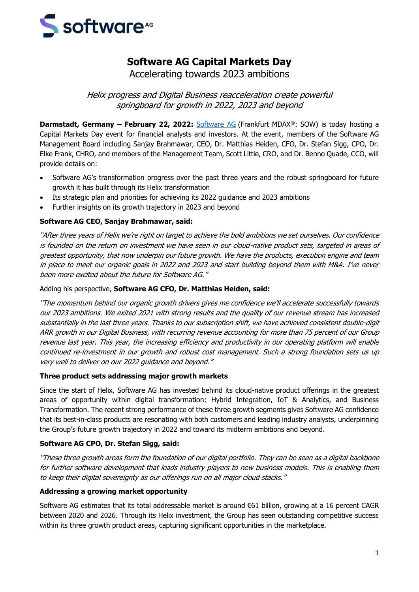

# **Software AG Capital Markets Day**

Accelerating towards 2023 ambitions

Helix progress and Digital Business reacceleration create powerful springboard for growth in 2022, 2023 and beyond

**Darmstadt, Germany – February 22, 2022:** [Software AG](https://www.softwareag.com/corporate/default) (Frankfurt MDAX®: SOW) is today hosting a Capital Markets Day event for financial analysts and investors. At the event, members of the Software AG Management Board including Sanjay Brahmawar, CEO, Dr. Matthias Heiden, CFO, Dr. Stefan Sigg, CPO, Dr. Elke Frank, CHRO, and members of the Management Team, Scott Little, CRO, and Dr. Benno Quade, CCO, will provide details on:

- Software AG's transformation progress over the past three years and the robust springboard for future growth it has built through its Helix transformation
- Its strategic plan and priorities for achieving its 2022 guidance and 2023 ambitions
- Further insights on its growth trajectory in 2023 and beyond

#### **Software AG CEO, Sanjay Brahmawar, said:**

"After three years of Helix we're right on target to achieve the bold ambitions we set ourselves. Our confidence is founded on the return on investment we have seen in our cloud-native product sets, targeted in areas of greatest opportunity, that now underpin our future growth. We have the products, execution engine and team in place to meet our organic goals in 2022 and 2023 and start building beyond them with M&A. I've never been more excited about the future for Software AG."

Adding his perspective, **Software AG CFO, Dr. Matthias Heiden, said:**

"The momentum behind our organic growth drivers gives me confidence we'll accelerate successfully towards our 2023 ambitions. We exited 2021 with strong results and the quality of our revenue stream has increased substantially in the last three years. Thanks to our subscription shift, we have achieved consistent double-digit ARR growth in our Digital Business, with recurring revenue accounting for more than 75 percent of our Group revenue last year. This year, the increasing efficiency and productivity in our operating platform will enable continued re-investment in our growth and robust cost management. Such a strong foundation sets us up very well to deliver on our 2022 guidance and beyond."

#### **Three product sets addressing major growth markets**

Since the start of Helix, Software AG has invested behind its cloud-native product offerings in the greatest areas of opportunity within digital transformation: Hybrid Integration, IoT & Analytics, and Business Transformation. The recent strong performance of these three growth segments gives Software AG confidence that its best-in-class products are resonating with both customers and leading industry analysts, underpinning the Group's future growth trajectory in 2022 and toward its midterm ambitions and beyond.

#### **Software AG CPO, Dr. Stefan Sigg, said:**

"These three growth areas form the foundation of our digital portfolio. They can be seen as a digital backbone for further software development that leads industry players to new business models. This is enabling them to keep their digital sovereignty as our offerings run on all major cloud stacks."

#### **Addressing a growing market opportunity**

Software AG estimates that its total addressable market is around €61 billion, growing at a 16 percent CAGR between 2020 and 2026. Through its Helix investment, the Group has seen outstanding competitive success within its three growth product areas, capturing significant opportunities in the marketplace.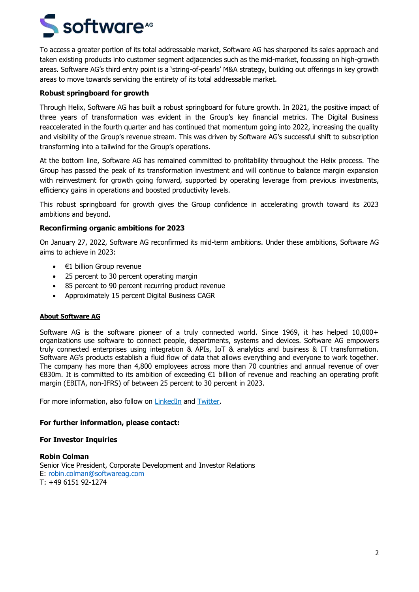# S software<sup>46</sup>

To access a greater portion of its total addressable market, Software AG has sharpened its sales approach and taken existing products into customer segment adjacencies such as the mid-market, focussing on high-growth areas. Software AG's third entry point is a 'string-of-pearls' M&A strategy, building out offerings in key growth areas to move towards servicing the entirety of its total addressable market.

### **Robust springboard for growth**

Through Helix, Software AG has built a robust springboard for future growth. In 2021, the positive impact of three years of transformation was evident in the Group's key financial metrics. The Digital Business reaccelerated in the fourth quarter and has continued that momentum going into 2022, increasing the quality and visibility of the Group's revenue stream. This was driven by Software AG's successful shift to subscription transforming into a tailwind for the Group's operations.

At the bottom line, Software AG has remained committed to profitability throughout the Helix process. The Group has passed the peak of its transformation investment and will continue to balance margin expansion with reinvestment for growth going forward, supported by operating leverage from previous investments, efficiency gains in operations and boosted productivity levels.

This robust springboard for growth gives the Group confidence in accelerating growth toward its 2023 ambitions and beyond.

## **Reconfirming organic ambitions for 2023**

On January 27, 2022, Software AG reconfirmed its mid-term ambitions. Under these ambitions, Software AG aims to achieve in 2023:

- $\bullet$   $\in$ 1 billion Group revenue
- 25 percent to 30 percent operating margin
- 85 percent to 90 percent recurring product revenue
- Approximately 15 percent Digital Business CAGR

#### **About Software AG**

Software AG is the software pioneer of a truly connected world. Since 1969, it has helped 10,000+ organizations use software to connect people, departments, systems and devices. Software AG empowers truly connected enterprises using integration & APIs, IoT & analytics and business & IT transformation. Software AG's products establish a fluid flow of data that allows everything and everyone to work together. The company has more than 4,800 employees across more than 70 countries and annual revenue of over €830m. It is committed to its ambition of exceeding €1 billion of revenue and reaching an operating profit margin (EBITA, non-IFRS) of between 25 percent to 30 percent in 2023.

For more information, also follow on [LinkedIn](https://www.linkedin.com/company/software-ag/) and [Twitter.](https://mobile.twitter.com/SoftwareAG)

#### **For further information, please contact:**

#### **For Investor Inquiries**

**Robin Colman** Senior Vice President, Corporate Development and Investor Relations E: [robin.colman@softwareag.com](mailto:robin.colman@softwareag.com) T: +49 6151 92-1274